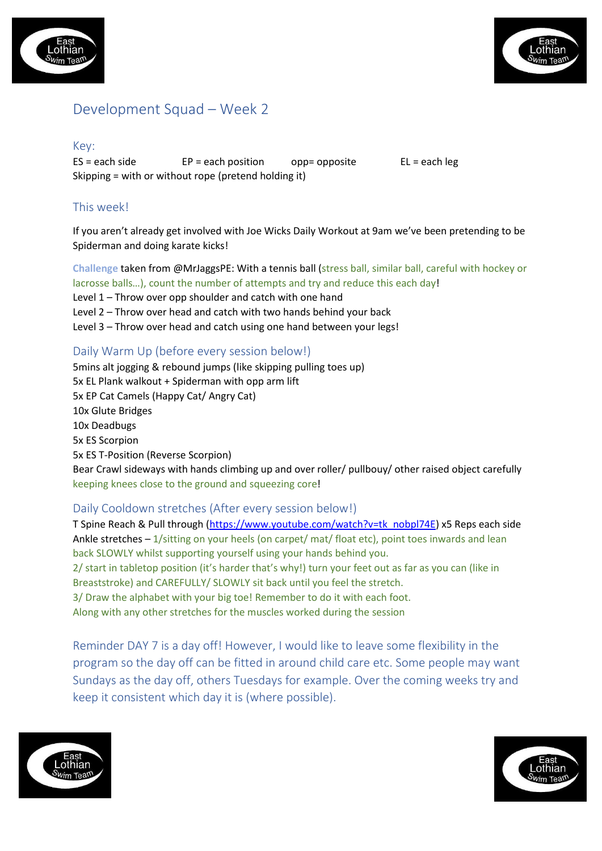



# Development Squad – Week 2

Key:

 $ES = each side$   $EP = each position$   $opp = opposite$   $EL = each\ leg$ Skipping = with or without rope (pretend holding it)

## This week!

If you aren't already get involved with Joe Wicks Daily Workout at 9am we've been pretending to be Spiderman and doing karate kicks!

**Challenge** taken from @MrJaggsPE: With a tennis ball (stress ball, similar ball, careful with hockey or lacrosse balls...), count the number of attempts and try and reduce this each day!

- Level  $1$  Throw over opp shoulder and catch with one hand
- Level  $2$  Throw over head and catch with two hands behind your back
- Level 3 Throw over head and catch using one hand between your legs!

#### Daily Warm Up (before every session below!)

5mins alt jogging & rebound jumps (like skipping pulling toes up) 5x EL Plank walkout + Spiderman with opp arm lift 5x EP Cat Camels (Happy Cat/ Angry Cat) 10x Glute Bridges 10x Deadbugs 5x ES Scorpion 5x ES T-Position (Reverse Scorpion) Bear Crawl sideways with hands climbing up and over roller/ pullbouy/ other raised object carefully keeping knees close to the ground and squeezing core!

#### Daily Cooldown stretches (After every session below!)

T Spine Reach & Pull through (https://www.youtube.com/watch?v=tk\_nobpl74E) x5 Reps each side Ankle stretches  $-1$ /sitting on your heels (on carpet/ mat/ float etc), point toes inwards and lean back SLOWLY whilst supporting yourself using your hands behind you. 2/ start in tabletop position (it's harder that's why!) turn your feet out as far as you can (like in Breaststroke) and CAREFULLY/ SLOWLY sit back until you feel the stretch.

3/ Draw the alphabet with your big toe! Remember to do it with each foot.

Along with any other stretches for the muscles worked during the session

Reminder DAY 7 is a day off! However, I would like to leave some flexibility in the program so the day off can be fitted in around child care etc. Some people may want Sundays as the day off, others Tuesdays for example. Over the coming weeks try and keep it consistent which day it is (where possible).



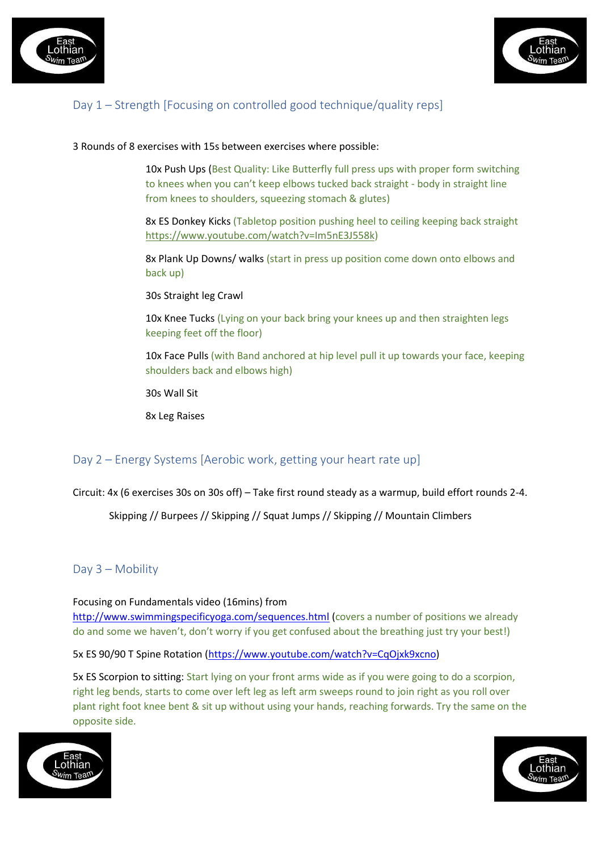



## Day 1 – Strength [Focusing on controlled good technique/quality reps]

3 Rounds of 8 exercises with 15s between exercises where possible:

10x Push Ups (Best Quality: Like Butterfly full press ups with proper form switching to knees when you can't keep elbows tucked back straight - body in straight line from knees to shoulders, squeezing stomach & glutes)

8x ES Donkey Kicks (Tabletop position pushing heel to ceiling keeping back straight https://www.youtube.com/watch?v=Im5nE3J558k)

8x Plank Up Downs/ walks (start in press up position come down onto elbows and back up)

30s Straight leg Crawl

10x Knee Tucks (Lying on your back bring your knees up and then straighten legs keeping feet off the floor)

10x Face Pulls (with Band anchored at hip level pull it up towards your face, keeping shoulders back and elbows high)

30s Wall Sit

8x Leg Raises

### Day 2 – Energy Systems [Aerobic work, getting your heart rate up]

Circuit:  $4x$  (6 exercises 30s on 30s off) – Take first round steady as a warmup, build effort rounds 2-4.

Skipping // Burpees // Skipping // Squat Jumps // Skipping // Mountain Climbers

### Day 3 – Mobility

Focusing on Fundamentals video (16mins) from http://www.swimmingspecificyoga.com/sequences.html (covers a number of positions we already do and some we haven't, don't worry if you get confused about the breathing just try your best!)

5x ES 90/90 T Spine Rotation (https://www.youtube.com/watch?v=CqOjxk9xcno)

5x ES Scorpion to sitting: Start lying on your front arms wide as if you were going to do a scorpion, right leg bends, starts to come over left leg as left arm sweeps round to join right as you roll over plant right foot knee bent & sit up without using your hands, reaching forwards. Try the same on the opposite side.